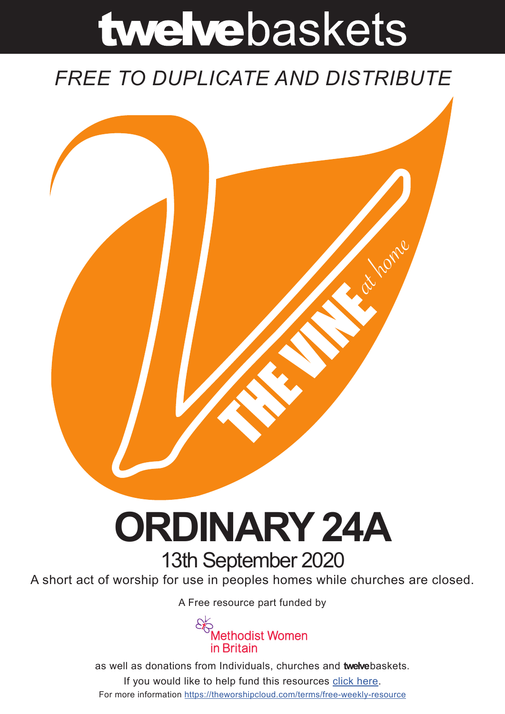# twelvebaskets

### *FREE TO DUPLICATE AND DISTRIBUTE*



## **ORDINARY 24A** 13th September 2020

A short act of worship for use in peoples homes while churches are closed.

A [Free resource part funded](https://mwib.org.uk) by



as well as donations from Individuals, churches and **twelve**baskets. If you would like to help fund this resources [click here]( https://theworshipcloud.com/tags/donation). For more information<https://theworshipcloud.com/terms/free-weekly-resource>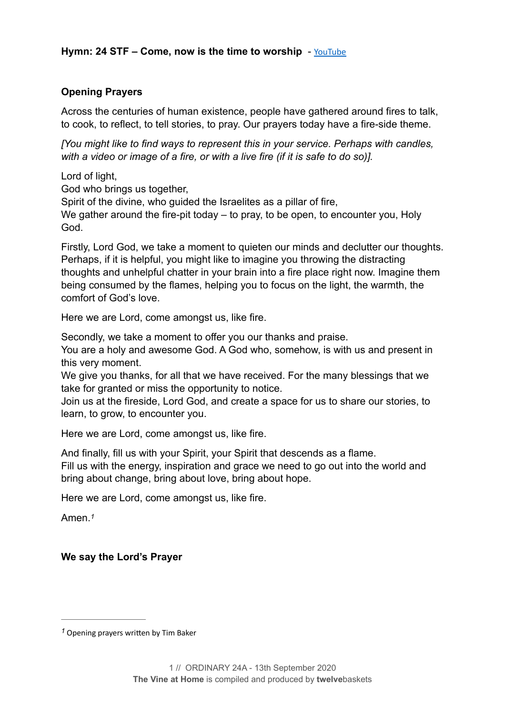#### **Opening Prayers**

Across the centuries of human existence, people have gathered around fires to talk, to cook, to reflect, to tell stories, to pray. Our prayers today have a fire-side theme.

*[You might like to find ways to represent this in your service. Perhaps with candles, with a video or image of a fire, or with a live fire (if it is safe to do so)].* 

Lord of light,

God who brings us together,

Spirit of the divine, who guided the Israelites as a pillar of fire,

We gather around the fire-pit today – to pray, to be open, to encounter you, Holy God.

Firstly, Lord God, we take a moment to quieten our minds and declutter our thoughts. Perhaps, if it is helpful, you might like to imagine you throwing the distracting thoughts and unhelpful chatter in your brain into a fire place right now. Imagine them being consumed by the flames, helping you to focus on the light, the warmth, the comfort of God's love.

Here we are Lord, come amongst us, like fire.

Secondly, we take a moment to offer you our thanks and praise.

You are a holy and awesome God. A God who, somehow, is with us and present in this very moment.

We give you thanks, for all that we have received. For the many blessings that we take for granted or miss the opportunity to notice.

Join us at the fireside, Lord God, and create a space for us to share our stories, to learn, to grow, to encounter you.

Here we are Lord, come amongst us, like fire.

And finally, fill us with your Spirit, your Spirit that descends as a flame.

Fill us with the energy, inspiration and grace we need to go out into the world and bring about change, bring about love, bring about hope.

Here we are Lord, come amongst us, like fire.

<span id="page-1-1"></span>Amen.*[1](#page-1-0)*

#### **We say the Lord's Prayer**

<span id="page-1-0"></span><sup>&</sup>lt;sup>[1](#page-1-1)</sup> Opening prayers written by Tim Baker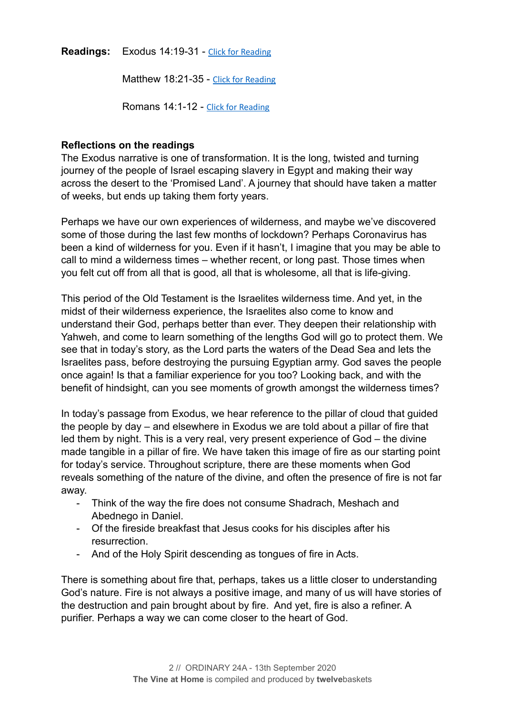**Readings:** Exodus 14:19-31 - [Click for Reading](https://www.biblegateway.com/passage/?search=Exodus+14:19-31&version=NRSV)

Matthew 18:21-35 - [Click for Reading](https://www.biblegateway.com/passage/?search=Matthew+18:21-35&version=NRSV)

Romans 14:1-12 - [Click for Reading](https://www.biblegateway.com/passage/?search=Romans+14:1-12&version=NRSV)

#### **Reflections on the readings**

The Exodus narrative is one of transformation. It is the long, twisted and turning journey of the people of Israel escaping slavery in Egypt and making their way across the desert to the 'Promised Land'. A journey that should have taken a matter of weeks, but ends up taking them forty years.

Perhaps we have our own experiences of wilderness, and maybe we've discovered some of those during the last few months of lockdown? Perhaps Coronavirus has been a kind of wilderness for you. Even if it hasn't, I imagine that you may be able to call to mind a wilderness times – whether recent, or long past. Those times when you felt cut off from all that is good, all that is wholesome, all that is life-giving.

This period of the Old Testament is the Israelites wilderness time. And yet, in the midst of their wilderness experience, the Israelites also come to know and understand their God, perhaps better than ever. They deepen their relationship with Yahweh, and come to learn something of the lengths God will go to protect them. We see that in today's story, as the Lord parts the waters of the Dead Sea and lets the Israelites pass, before destroying the pursuing Egyptian army. God saves the people once again! Is that a familiar experience for you too? Looking back, and with the benefit of hindsight, can you see moments of growth amongst the wilderness times?

In today's passage from Exodus, we hear reference to the pillar of cloud that guided the people by day – and elsewhere in Exodus we are told about a pillar of fire that led them by night. This is a very real, very present experience of God – the divine made tangible in a pillar of fire. We have taken this image of fire as our starting point for today's service. Throughout scripture, there are these moments when God reveals something of the nature of the divine, and often the presence of fire is not far away.

- Think of the way the fire does not consume Shadrach, Meshach and Abednego in Daniel.
- Of the fireside breakfast that Jesus cooks for his disciples after his resurrection.
- And of the Holy Spirit descending as tongues of fire in Acts.

There is something about fire that, perhaps, takes us a little closer to understanding God's nature. Fire is not always a positive image, and many of us will have stories of the destruction and pain brought about by fire. And yet, fire is also a refiner. A purifier. Perhaps a way we can come closer to the heart of God.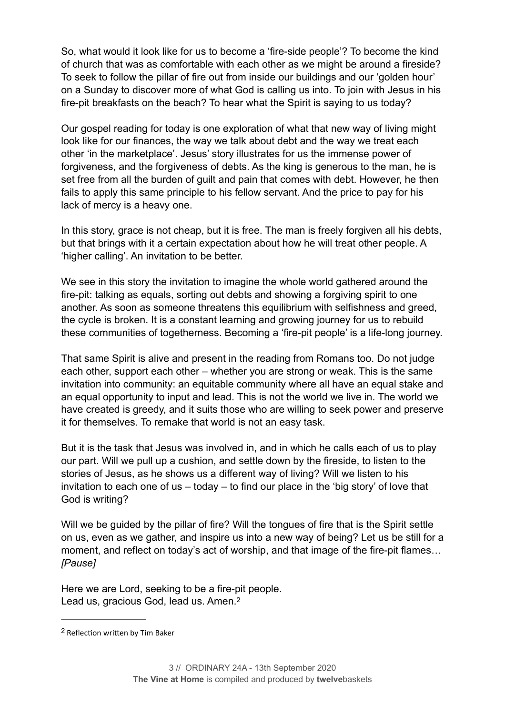So, what would it look like for us to become a 'fire-side people'? To become the kind of church that was as comfortable with each other as we might be around a fireside? To seek to follow the pillar of fire out from inside our buildings and our 'golden hour' on a Sunday to discover more of what God is calling us into. To join with Jesus in his fire-pit breakfasts on the beach? To hear what the Spirit is saying to us today?

Our gospel reading for today is one exploration of what that new way of living might look like for our finances, the way we talk about debt and the way we treat each other 'in the marketplace'. Jesus' story illustrates for us the immense power of forgiveness, and the forgiveness of debts. As the king is generous to the man, he is set free from all the burden of guilt and pain that comes with debt. However, he then fails to apply this same principle to his fellow servant. And the price to pay for his lack of mercy is a heavy one.

In this story, grace is not cheap, but it is free. The man is freely forgiven all his debts, but that brings with it a certain expectation about how he will treat other people. A 'higher calling'. An invitation to be better.

We see in this story the invitation to imagine the whole world gathered around the fire-pit: talking as equals, sorting out debts and showing a forgiving spirit to one another. As soon as someone threatens this equilibrium with selfishness and greed, the cycle is broken. It is a constant learning and growing journey for us to rebuild these communities of togetherness. Becoming a 'fire-pit people' is a life-long journey.

That same Spirit is alive and present in the reading from Romans too. Do not judge each other, support each other – whether you are strong or weak. This is the same invitation into community: an equitable community where all have an equal stake and an equal opportunity to input and lead. This is not the world we live in. The world we have created is greedy, and it suits those who are willing to seek power and preserve it for themselves. To remake that world is not an easy task.

But it is the task that Jesus was involved in, and in which he calls each of us to play our part. Will we pull up a cushion, and settle down by the fireside, to listen to the stories of Jesus, as he shows us a different way of living? Will we listen to his invitation to each one of us – today – to find our place in the 'big story' of love that God is writing?

Will we be quided by the pillar of fire? Will the tongues of fire that is the Spirit settle on us, even as we gather, and inspire us into a new way of being? Let us be still for a moment, and reflect on today's act of worship, and that image of the fire-pit flames… *[Pause]* 

<span id="page-3-1"></span>Here we are Lord, seeking to be a fire-pit people. Lead us, gracious God, lead us, Amen.<sup>[2](#page-3-0)</sup>

<span id="page-3-0"></span><sup>&</sup>lt;sup>[2](#page-3-1)</sup> Reflection written by Tim Baker